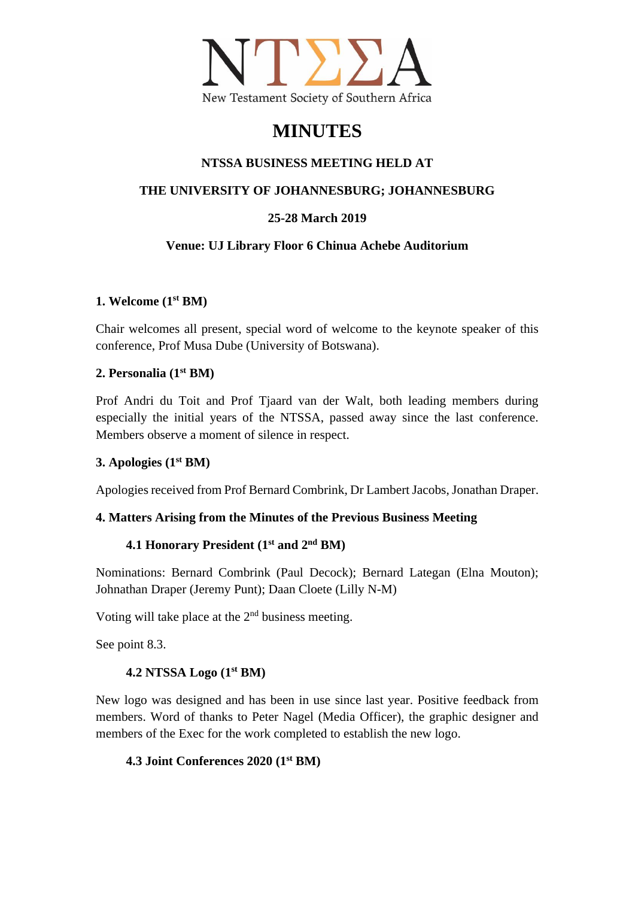

# **MINUTES**

### **NTSSA BUSINESS MEETING HELD AT**

### **THE UNIVERSITY OF JOHANNESBURG; JOHANNESBURG**

### **25-28 March 2019**

### **Venue: UJ Library Floor 6 Chinua Achebe Auditorium**

#### **1. Welcome (1st BM)**

Chair welcomes all present, special word of welcome to the keynote speaker of this conference, Prof Musa Dube (University of Botswana).

#### **2. Personalia (1st BM)**

Prof Andri du Toit and Prof Tjaard van der Walt, both leading members during especially the initial years of the NTSSA, passed away since the last conference. Members observe a moment of silence in respect.

#### **3. Apologies (1st BM)**

Apologies received from Prof Bernard Combrink, Dr Lambert Jacobs, Jonathan Draper.

#### **4. Matters Arising from the Minutes of the Previous Business Meeting**

### **4.1 Honorary President (1st and 2nd BM)**

Nominations: Bernard Combrink (Paul Decock); Bernard Lategan (Elna Mouton); Johnathan Draper (Jeremy Punt); Daan Cloete (Lilly N-M)

Voting will take place at the 2<sup>nd</sup> business meeting.

See point 8.3.

#### **4.2 NTSSA Logo (1st BM)**

New logo was designed and has been in use since last year. Positive feedback from members. Word of thanks to Peter Nagel (Media Officer), the graphic designer and members of the Exec for the work completed to establish the new logo.

#### **4.3 Joint Conferences 2020 (1st BM)**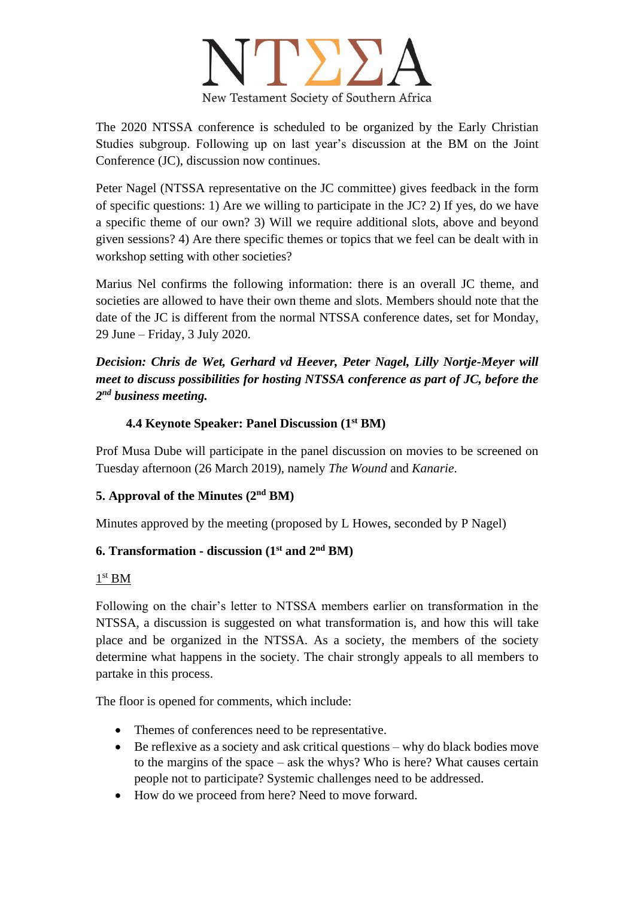

The 2020 NTSSA conference is scheduled to be organized by the Early Christian Studies subgroup. Following up on last year's discussion at the BM on the Joint Conference (JC), discussion now continues.

Peter Nagel (NTSSA representative on the JC committee) gives feedback in the form of specific questions: 1) Are we willing to participate in the JC? 2) If yes, do we have a specific theme of our own? 3) Will we require additional slots, above and beyond given sessions? 4) Are there specific themes or topics that we feel can be dealt with in workshop setting with other societies?

Marius Nel confirms the following information: there is an overall JC theme, and societies are allowed to have their own theme and slots. Members should note that the date of the JC is different from the normal NTSSA conference dates, set for Monday, 29 June – Friday, 3 July 2020.

*Decision: Chris de Wet, Gerhard vd Heever, Peter Nagel, Lilly Nortje-Meyer will meet to discuss possibilities for hosting NTSSA conference as part of JC, before the 2 nd business meeting.*

### **4.4 Keynote Speaker: Panel Discussion (1st BM)**

Prof Musa Dube will participate in the panel discussion on movies to be screened on Tuesday afternoon (26 March 2019), namely *The Wound* and *Kanarie*.

### **5. Approval of the Minutes (2nd BM)**

Minutes approved by the meeting (proposed by L Howes, seconded by P Nagel)

### **6. Transformation - discussion (1st and 2nd BM)**

#### 1 st BM

Following on the chair's letter to NTSSA members earlier on transformation in the NTSSA, a discussion is suggested on what transformation is, and how this will take place and be organized in the NTSSA. As a society, the members of the society determine what happens in the society. The chair strongly appeals to all members to partake in this process.

The floor is opened for comments, which include:

- Themes of conferences need to be representative.
- Be reflexive as a society and ask critical questions why do black bodies move to the margins of the space – ask the whys? Who is here? What causes certain people not to participate? Systemic challenges need to be addressed.
- How do we proceed from here? Need to move forward.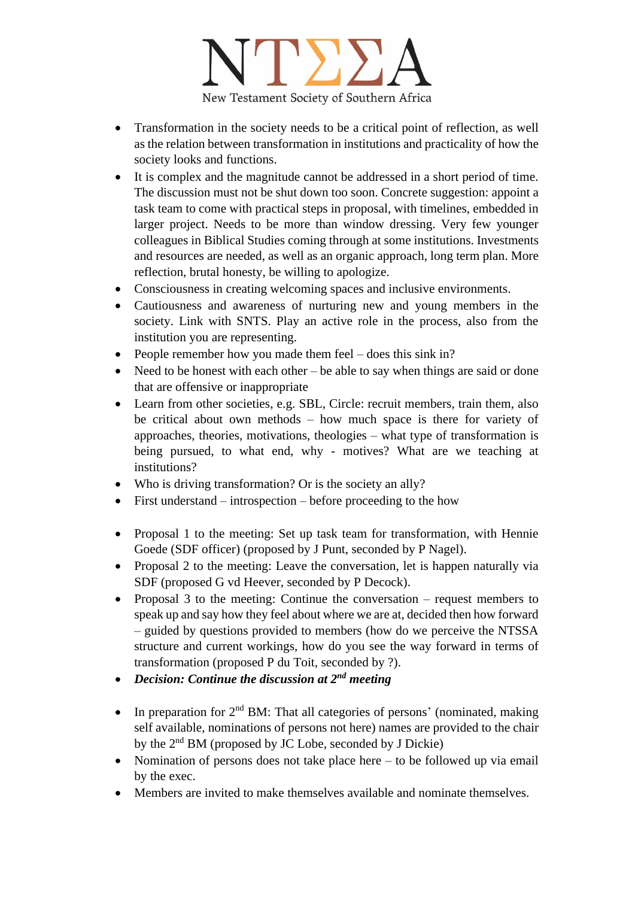

- Transformation in the society needs to be a critical point of reflection, as well as the relation between transformation in institutions and practicality of how the society looks and functions.
- It is complex and the magnitude cannot be addressed in a short period of time. The discussion must not be shut down too soon. Concrete suggestion: appoint a task team to come with practical steps in proposal, with timelines, embedded in larger project. Needs to be more than window dressing. Very few younger colleagues in Biblical Studies coming through at some institutions. Investments and resources are needed, as well as an organic approach, long term plan. More reflection, brutal honesty, be willing to apologize.
- Consciousness in creating welcoming spaces and inclusive environments.
- Cautiousness and awareness of nurturing new and young members in the society. Link with SNTS. Play an active role in the process, also from the institution you are representing.
- People remember how you made them feel does this sink in?
- Need to be honest with each other  $-$  be able to say when things are said or done that are offensive or inappropriate
- Learn from other societies, e.g. SBL, Circle: recruit members, train them, also be critical about own methods – how much space is there for variety of approaches, theories, motivations, theologies – what type of transformation is being pursued, to what end, why - motives? What are we teaching at institutions?
- Who is driving transformation? Or is the society an ally?
- First understand introspection before proceeding to the how
- Proposal 1 to the meeting: Set up task team for transformation, with Hennie Goede (SDF officer) (proposed by J Punt, seconded by P Nagel).
- Proposal 2 to the meeting: Leave the conversation, let is happen naturally via SDF (proposed G vd Heever, seconded by P Decock).
- Proposal 3 to the meeting: Continue the conversation request members to speak up and say how they feel about where we are at, decided then how forward – guided by questions provided to members (how do we perceive the NTSSA structure and current workings, how do you see the way forward in terms of transformation (proposed P du Toit, seconded by ?).
- *Decision: Continue the discussion at 2nd meeting*
- In preparation for  $2<sup>nd</sup>$  BM: That all categories of persons' (nominated, making self available, nominations of persons not here) names are provided to the chair by the 2nd BM (proposed by JC Lobe, seconded by J Dickie)
- Nomination of persons does not take place here to be followed up via email by the exec.
- Members are invited to make themselves available and nominate themselves.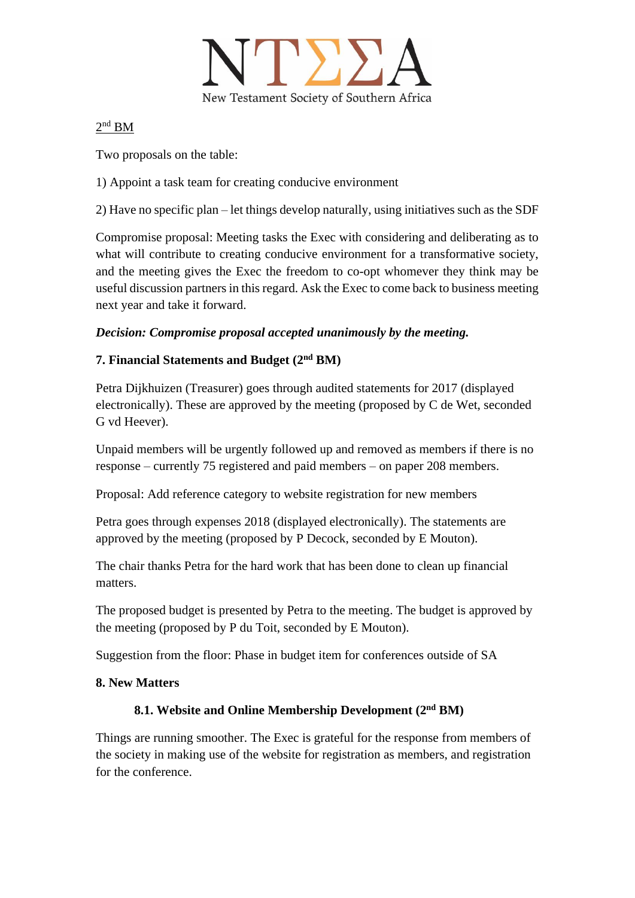

### $2<sup>nd</sup>$  BM

Two proposals on the table:

1) Appoint a task team for creating conducive environment

2) Have no specific plan – let things develop naturally, using initiatives such as the SDF

Compromise proposal: Meeting tasks the Exec with considering and deliberating as to what will contribute to creating conducive environment for a transformative society, and the meeting gives the Exec the freedom to co-opt whomever they think may be useful discussion partners in this regard. Ask the Exec to come back to business meeting next year and take it forward.

### *Decision: Compromise proposal accepted unanimously by the meeting.*

### **7. Financial Statements and Budget (2nd BM)**

Petra Dijkhuizen (Treasurer) goes through audited statements for 2017 (displayed electronically). These are approved by the meeting (proposed by C de Wet, seconded G vd Heever).

Unpaid members will be urgently followed up and removed as members if there is no response – currently 75 registered and paid members – on paper 208 members.

Proposal: Add reference category to website registration for new members

Petra goes through expenses 2018 (displayed electronically). The statements are approved by the meeting (proposed by P Decock, seconded by E Mouton).

The chair thanks Petra for the hard work that has been done to clean up financial matters.

The proposed budget is presented by Petra to the meeting. The budget is approved by the meeting (proposed by P du Toit, seconded by E Mouton).

Suggestion from the floor: Phase in budget item for conferences outside of SA

#### **8. New Matters**

### **8.1. Website and Online Membership Development (2nd BM)**

Things are running smoother. The Exec is grateful for the response from members of the society in making use of the website for registration as members, and registration for the conference.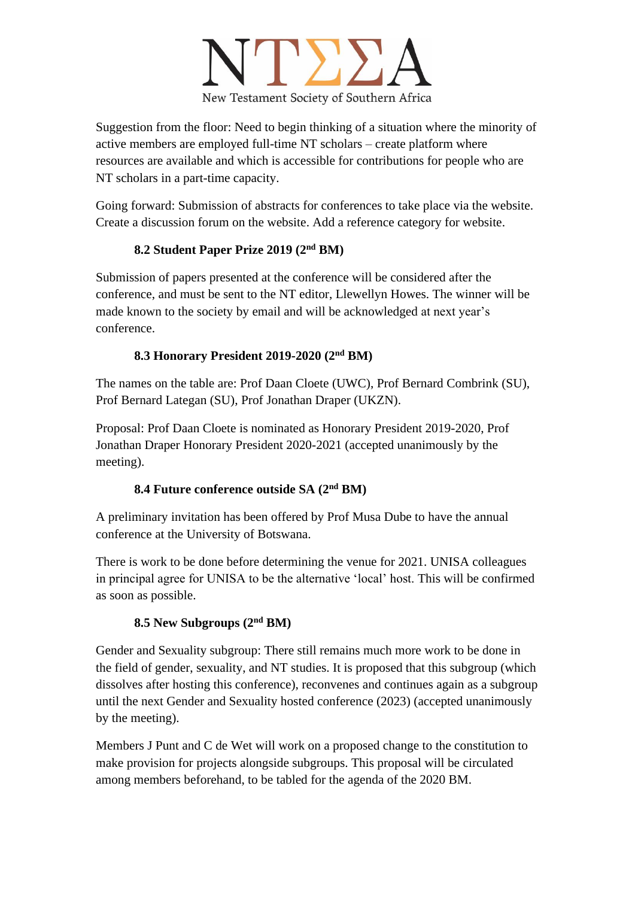

Suggestion from the floor: Need to begin thinking of a situation where the minority of active members are employed full-time NT scholars – create platform where resources are available and which is accessible for contributions for people who are NT scholars in a part-time capacity.

Going forward: Submission of abstracts for conferences to take place via the website. Create a discussion forum on the website. Add a reference category for website.

### **8.2 Student Paper Prize 2019 (2nd BM)**

Submission of papers presented at the conference will be considered after the conference, and must be sent to the NT editor, Llewellyn Howes. The winner will be made known to the society by email and will be acknowledged at next year's conference.

### **8.3 Honorary President 2019-2020 (2nd BM)**

The names on the table are: Prof Daan Cloete (UWC), Prof Bernard Combrink (SU), Prof Bernard Lategan (SU), Prof Jonathan Draper (UKZN).

Proposal: Prof Daan Cloete is nominated as Honorary President 2019-2020, Prof Jonathan Draper Honorary President 2020-2021 (accepted unanimously by the meeting).

### **8.4 Future conference outside SA (2nd BM)**

A preliminary invitation has been offered by Prof Musa Dube to have the annual conference at the University of Botswana.

There is work to be done before determining the venue for 2021. UNISA colleagues in principal agree for UNISA to be the alternative 'local' host. This will be confirmed as soon as possible.

### **8.5 New Subgroups (2nd BM)**

Gender and Sexuality subgroup: There still remains much more work to be done in the field of gender, sexuality, and NT studies. It is proposed that this subgroup (which dissolves after hosting this conference), reconvenes and continues again as a subgroup until the next Gender and Sexuality hosted conference (2023) (accepted unanimously by the meeting).

Members J Punt and C de Wet will work on a proposed change to the constitution to make provision for projects alongside subgroups. This proposal will be circulated among members beforehand, to be tabled for the agenda of the 2020 BM.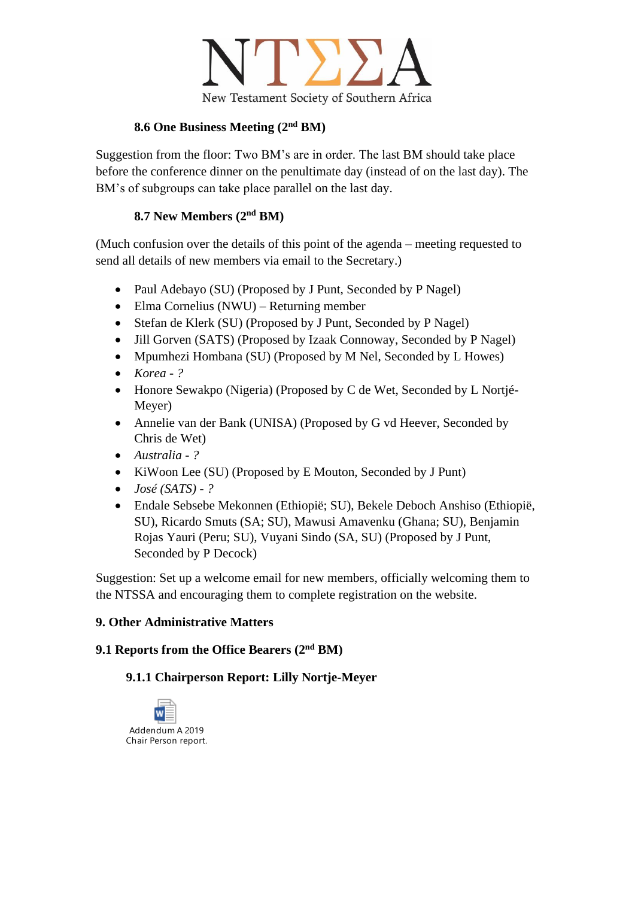

### **8.6 One Business Meeting (2nd BM)**

Suggestion from the floor: Two BM's are in order. The last BM should take place before the conference dinner on the penultimate day (instead of on the last day). The BM's of subgroups can take place parallel on the last day.

### **8.7 New Members (2nd BM)**

(Much confusion over the details of this point of the agenda – meeting requested to send all details of new members via email to the Secretary.)

- Paul Adebayo (SU) (Proposed by J Punt, Seconded by P Nagel)
- Elma Cornelius (NWU) Returning member
- Stefan de Klerk (SU) (Proposed by J Punt, Seconded by P Nagel)
- Jill Gorven (SATS) (Proposed by Izaak Connoway, Seconded by P Nagel)
- Mpumhezi Hombana (SU) (Proposed by M Nel, Seconded by L Howes)
- *Korea - ?*
- Honore Sewakpo (Nigeria) (Proposed by C de Wet, Seconded by L Nortjé-Meyer)
- Annelie van der Bank (UNISA) (Proposed by G vd Heever, Seconded by Chris de Wet)
- *Australia - ?*
- KiWoon Lee (SU) (Proposed by E Mouton, Seconded by J Punt)
- *José (SATS) - ?*
- Endale Sebsebe Mekonnen (Ethiopië; SU), Bekele Deboch Anshiso (Ethiopië, SU), Ricardo Smuts (SA; SU), Mawusi Amavenku (Ghana; SU), Benjamin Rojas Yauri (Peru; SU), Vuyani Sindo (SA, SU) (Proposed by J Punt, Seconded by P Decock)

Suggestion: Set up a welcome email for new members, officially welcoming them to the NTSSA and encouraging them to complete registration on the website.

#### **9. Other Administrative Matters**

#### **9.1 Reports from the Office Bearers (2nd BM)**

### **9.1.1 Chairperson Report: Lilly Nortje-Meyer**

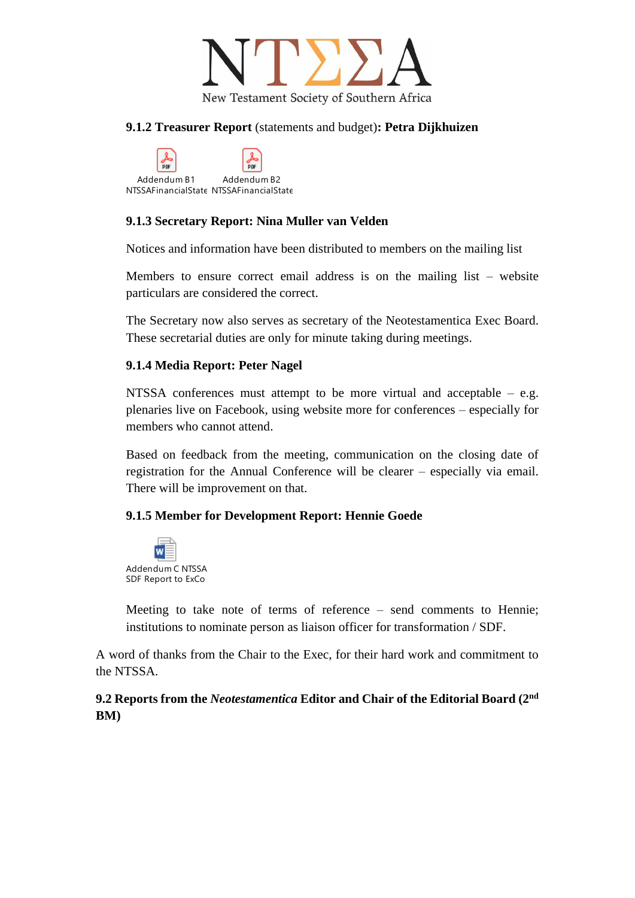

#### **9.1.2 Treasurer Report** (statements and budget)**: Petra Dijkhuizen**

**DDF** Addendum B1 Addendum B2 NTSSAFinancialState NTSSAFinancialState

### **9.1.3 Secretary Report: Nina Muller van Velden**

Notices and information have been distributed to members on the mailing list

Members to ensure correct email address is on the mailing list – website particulars are considered the correct.

The Secretary now also serves as secretary of the Neotestamentica Exec Board. These secretarial duties are only for minute taking during meetings.

#### **9.1.4 Media Report: Peter Nagel**

NTSSA conferences must attempt to be more virtual and acceptable – e.g. plenaries live on Facebook, using website more for conferences – especially for members who cannot attend.

Based on feedback from the meeting, communication on the closing date of registration for the Annual Conference will be clearer – especially via email. There will be improvement on that.

#### **9.1.5 Member for Development Report: Hennie Goede**



Meeting to take note of terms of reference – send comments to Hennie; institutions to nominate person as liaison officer for transformation / SDF.

A word of thanks from the Chair to the Exec, for their hard work and commitment to the NTSSA.

**9.2 Reports from the** *Neotestamentica* **Editor and Chair of the Editorial Board (2nd BM)**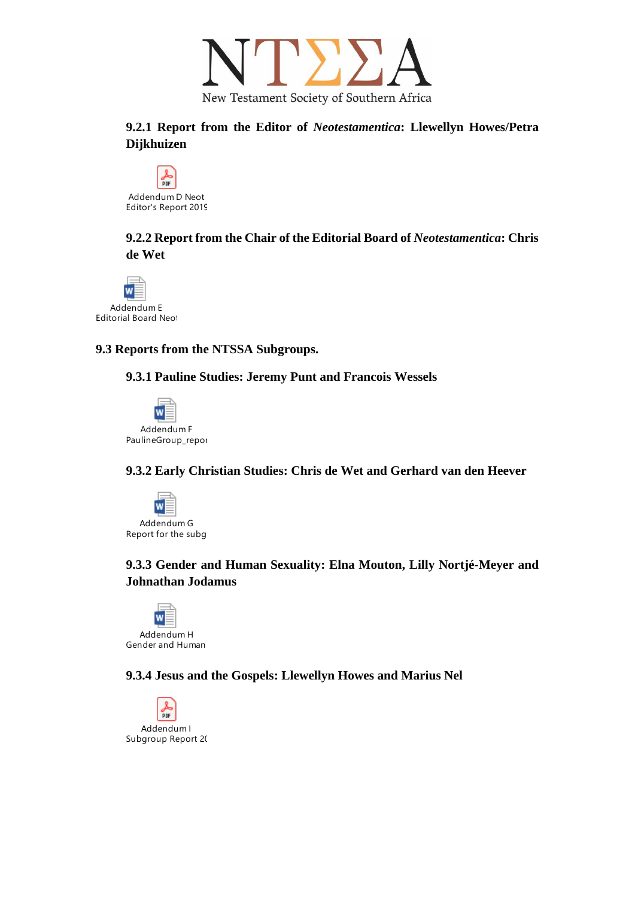

**9.2.1 Report from the Editor of** *Neotestamentica***: Llewellyn Howes/Petra Dijkhuizen**



**9.2.2 Report from the Chair of the Editorial Board of** *Neotestamentica***: Chris de Wet**



#### **9.3 Reports from the NTSSA Subgroups.**

**9.3.1 Pauline Studies: Jeremy Punt and Francois Wessels**



**9.3.2 Early Christian Studies: Chris de Wet and Gerhard van den Heever**



### **9.3.3 Gender and Human Sexuality: Elna Mouton, Lilly Nortjé-Meyer and Johnathan Jodamus**



Addendum H Gender and Human

**9.3.4 Jesus and the Gospels: Llewellyn Howes and Marius Nel**

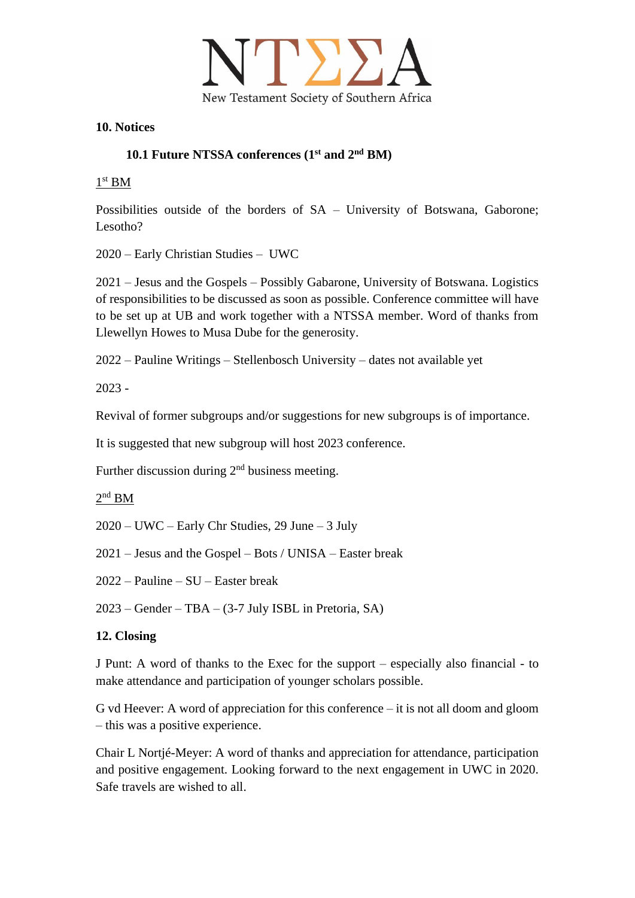

#### **10. Notices**

### **10.1 Future NTSSA conferences (1st and 2nd BM)**

1 st BM

Possibilities outside of the borders of SA – University of Botswana, Gaborone; Lesotho?

2020 – Early Christian Studies – UWC

2021 – Jesus and the Gospels – Possibly Gabarone, University of Botswana. Logistics of responsibilities to be discussed as soon as possible. Conference committee will have to be set up at UB and work together with a NTSSA member. Word of thanks from Llewellyn Howes to Musa Dube for the generosity.

2022 – Pauline Writings – Stellenbosch University – dates not available yet

2023 -

Revival of former subgroups and/or suggestions for new subgroups is of importance.

It is suggested that new subgroup will host 2023 conference.

Further discussion during 2<sup>nd</sup> business meeting.

 $2<sup>nd</sup>$  BM

2020 – UWC – Early Chr Studies, 29 June – 3 July

2021 – Jesus and the Gospel – Bots / UNISA – Easter break

2022 – Pauline – SU – Easter break

2023 – Gender – TBA – (3-7 July ISBL in Pretoria, SA)

#### **12. Closing**

J Punt: A word of thanks to the Exec for the support – especially also financial - to make attendance and participation of younger scholars possible.

G vd Heever: A word of appreciation for this conference – it is not all doom and gloom – this was a positive experience.

Chair L Nortjé-Meyer: A word of thanks and appreciation for attendance, participation and positive engagement. Looking forward to the next engagement in UWC in 2020. Safe travels are wished to all.